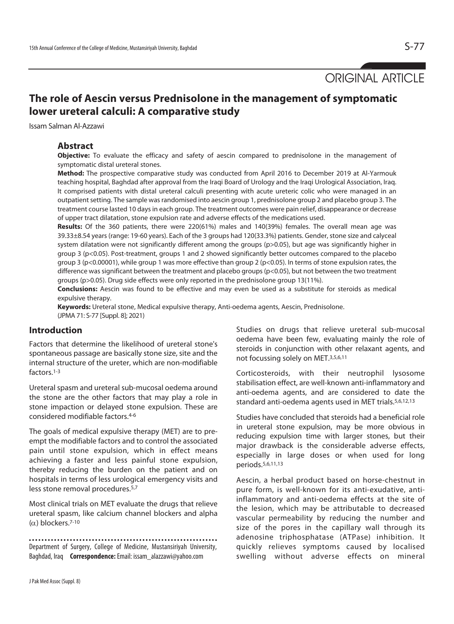ORIGINAL ARTICLE

# **The role of Aescin versus Prednisolone in the management of symptomatic lower ureteral calculi: A comparative study**

Issam Salman Al-Azzawi

#### **Abstract**

**Objective:** To evaluate the efficacy and safety of aescin compared to prednisolone in the management of symptomatic distal ureteral stones.

**Method:** The prospective comparative study was conducted from April 2016 to December 2019 at Al-Yarmouk teaching hospital, Baghdad after approval from the Iraqi Board of Urology and the Iraqi Urological Association, Iraq. It comprised patients with distal ureteral calculi presenting with acute ureteric colic who were managed in an outpatient setting. The sample was randomised into aescin group 1, prednisolone group 2 and placebo group 3. The treatment course lasted 10 days in each group. The treatment outcomes were pain relief, disappearance or decrease of upper tract dilatation, stone expulsion rate and adverse effects of the medications used.

**Results:** Of the 360 patients, there were 220(61%) males and 140(39%) females. The overall mean age was 39.33±8.54 years (range: 19-60 years). Each of the 3 groups had 120(33.3%) patients. Gender, stone size and calyceal system dilatation were not significantly different among the groups (p>0.05), but age was significantly higher in group 3 (p<0.05). Post-treatment, groups 1 and 2 showed significantly better outcomes compared to the placebo group 3 (p<0.00001), while group 1 was more effective than group 2 (p<0.05). In terms of stone expulsion rates, the difference was significant between the treatment and placebo groups (p<0.05), but not between the two treatment groups (p>0.05). Drug side effects were only reported in the prednisolone group 13(11%).

**Conclusions:** Aescin was found to be effective and may even be used as a substitute for steroids as medical expulsive therapy.

**Keywords:** Ureteral stone, Medical expulsive therapy, Anti-oedema agents, Aescin, Prednisolone. (JPMA 71: S-77 [Suppl. 8]; 2021)

# **Introduction**

Factors that determine the likelihood of ureteral stone's spontaneous passage are basically stone size, site and the internal structure of the ureter, which are non-modifiable factors.1-3

Ureteral spasm and ureteral sub-mucosal oedema around the stone are the other factors that may play a role in stone impaction or delayed stone expulsion. These are considered modifiable factors.4-6

The goals of medical expulsive therapy (MET) are to preempt the modifiable factors and to control the associated pain until stone expulsion, which in effect means achieving a faster and less painful stone expulsion, thereby reducing the burden on the patient and on hospitals in terms of less urological emergency visits and less stone removal procedures.5,7

Most clinical trials on MET evaluate the drugs that relieve ureteral spasm, like calcium channel blockers and alpha  $(\alpha)$  blockers.<sup>7-10</sup>

Department of Surgery, College of Medicine, Mustansiriyah University, Baghdad, Iraq **Correspondence:** Email: issam\_alazzawi@yahoo.com

Studies on drugs that relieve ureteral sub-mucosal oedema have been few, evaluating mainly the role of steroids in conjunction with other relaxant agents, and not focussing solely on MET.3,5,6,11

Corticosteroids, with their neutrophil lysosome stabilisation effect, are well-known anti-inflammatory and anti-oedema agents, and are considered to date the standard anti-oedema agents used in MET trials.5,6,12,13

Studies have concluded that steroids had a beneficial role in ureteral stone expulsion, may be more obvious in reducing expulsion time with larger stones, but their major drawback is the considerable adverse effects, especially in large doses or when used for long periods.5,6,11,13

Aescin, a herbal product based on horse-chestnut in pure form, is well-known for its anti-exudative, antiinflammatory and anti-oedema effects at the site of the lesion, which may be attributable to decreased vascular permeability by reducing the number and size of the pores in the capillary wall through its adenosine triphosphatase (ATPase) inhibition. It quickly relieves symptoms caused by localised swelling without adverse effects on mineral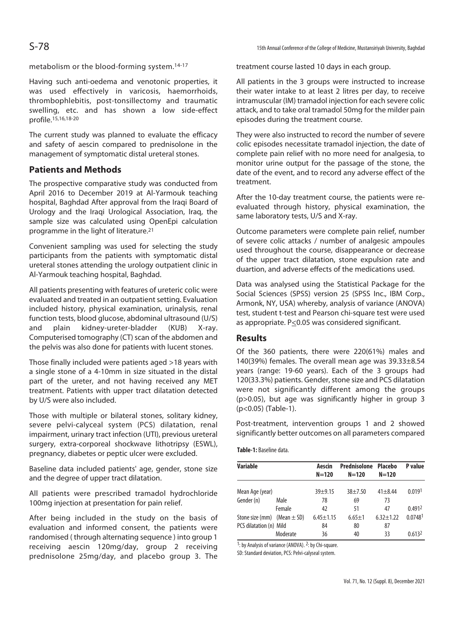#### metabolism or the blood-forming system.14-17

Having such anti-oedema and venotonic properties, it was used effectively in varicosis, haemorrhoids, thrombophlebitis, post-tonsillectomy and traumatic swelling, etc. and has shown a low side-effect profile.15,16,18-20

The current study was planned to evaluate the efficacy and safety of aescin compared to prednisolone in the management of symptomatic distal ureteral stones.

## **Patients and Methods**

The prospective comparative study was conducted from April 2016 to December 2019 at Al-Yarmouk teaching hospital, Baghdad After approval from the Iraqi Board of Urology and the Iraqi Urological Association, Iraq, the sample size was calculated using OpenEpi calculation programme in the light of literature.21

Convenient sampling was used for selecting the study participants from the patients with symptomatic distal ureteral stones attending the urology outpatient clinic in Al-Yarmouk teaching hospital, Baghdad.

All patients presenting with features of ureteric colic were evaluated and treated in an outpatient setting. Evaluation included history, physical examination, urinalysis, renal function tests, blood glucose, abdominal ultrasound (U/S) and plain kidney-ureter-bladder (KUB) X-ray. Computerised tomography (CT) scan of the abdomen and the pelvis was also done for patients with lucent stones.

Those finally included were patients aged >18 years with a single stone of a 4-10mm in size situated in the distal part of the ureter, and not having received any MET treatment. Patients with upper tract dilatation detected by U/S were also included.

Those with multiple or bilateral stones, solitary kidney, severe pelvi-calyceal system (PCS) dilatation, renal impairment, urinary tract infection (UTI), previous ureteral surgery, extra-corporeal shockwave lithotripsy (ESWL), pregnancy, diabetes or peptic ulcer were excluded.

Baseline data included patients' age, gender, stone size and the degree of upper tract dilatation.

All patients were prescribed tramadol hydrochloride 100mg injection at presentation for pain relief.

After being included in the study on the basis of evaluation and informed consent, the patients were randomised ( through alternating sequence ) into group 1 receiving aescin 120mg/day, group 2 receiving prednisolone 25mg/day, and placebo group 3. The treatment course lasted 10 days in each group.

All patients in the 3 groups were instructed to increase their water intake to at least 2 litres per day, to receive intramuscular (IM) tramadol injection for each severe colic attack, and to take oral tramadol 50mg for the milder pain episodes during the treatment course.

They were also instructed to record the number of severe colic episodes necessitate tramadol injection, the date of complete pain relief with no more need for analgesia, to monitor urine output for the passage of the stone, the date of the event, and to record any adverse effect of the treatment.

After the 10-day treatment course, the patients were reevaluated through history, physical examination, the same laboratory tests, U/S and X-ray.

Outcome parameters were complete pain relief, number of severe colic attacks / number of analgesic ampoules used throughout the course, disappearance or decrease of the upper tract dilatation, stone expulsion rate and duartion, and adverse effects of the medications used.

Data was analysed using the Statistical Package for the Social Sciences (SPSS) version 25 (SPSS Inc., IBM Corp., Armonk, NY, USA) whereby, analysis of variance (ANOVA) test, student t-test and Pearson chi-square test were used as appropriate. P<0.05 was considered significant.

# **Results**

Of the 360 patients, there were 220(61%) males and 140(39%) females. The overall mean age was 39.33±8.54 years (range: 19-60 years). Each of the 3 groups had 120(33.3%) patients. Gender, stone size and PCS dilatation were not significantly different among the groups (p>0.05), but age was significantly higher in group 3 (p<0.05) (Table-1).

Post-treatment, intervention groups 1 and 2 showed significantly better outcomes on all parameters compared

**Table-1:** Baseline data.

| <b>Variable</b>                 |          | Aescin          | Prednisolone Placebo |               | P value            |
|---------------------------------|----------|-----------------|----------------------|---------------|--------------------|
|                                 |          | $N = 120$       | $N = 120$            | $N = 120$     |                    |
| Mean Age (year)                 |          | $39 + 9.15$     | $38 + 7.50$          | $41 + 8.44$   | 0.0191             |
| Gender (n)                      | Male     | 78              | 69                   | 73            |                    |
|                                 | Female   | 42              | 51                   | 47            | 0.4912             |
| Stone size (mm) (Mean $\pm$ SD) |          | $6.45 \pm 1.15$ | $6.65 + 1$           | $6.32 + 1.22$ | 0.07481            |
| PCS dilatation (n) Mild         |          | 84              | 80                   | 87            |                    |
|                                 | Moderate | 36              | 40                   | 33            | 0.613 <sup>2</sup> |

 $1:$  by Analysis of variance (ANOVA).  $2:$  by Chi-square.

SD: Standard deviation, PCS: Pelvi-calyseal system.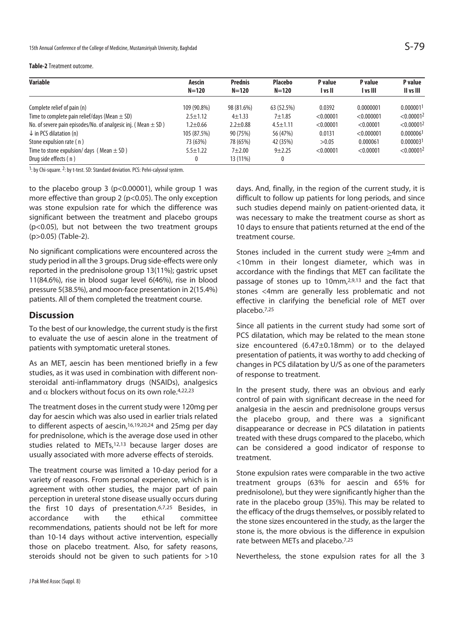| Variable                                                          | Aescin         | <b>Prednis</b> | <b>Placebo</b> | P value   | P value    | P value                |
|-------------------------------------------------------------------|----------------|----------------|----------------|-----------|------------|------------------------|
|                                                                   | $N = 120$      | $N = 120$      | $N = 120$      | I vs II   | I vs III   | II vs III              |
| Complete relief of pain (n)                                       | 109 (90.8%)    | 98 (81.6%)     | 63 (52.5%)     | 0.0392    | 0.0000001  | 0.0000011              |
| Time to complete pain relief/days (Mean $\pm$ SD)                 | $2.5 \pm 1.12$ | $4 + 1.33$     | $7 + 1.85$     | < 0.00001 | < 0.000001 | < 0.00001 <sup>2</sup> |
| No. of severe pain episodes/No. of analgesic inj. (Mean $\pm$ SD) | $1.2 + 0.66$   | $2.2 + 0.88$   | $4.5 + 1.11$   | < 0.00001 | < 0.00001  | < 0.00001 <sup>2</sup> |
| $\downarrow$ in PCS dilatation (n)                                | 105 (87.5%)    | 90 (75%)       | 56 (47%)       | 0.0131    | < 0.000001 | 0.000006 <sup>1</sup>  |
| Stone expulsion rate (n)                                          | 73 (63%)       | 78 (65%)       | 42 (35%)       | >0.05     | 0.000061   | 0.0000031              |
| Time to stone expulsion/ days (Mean $\pm$ SD)                     | $5.5 + 1.22$   | $7 + 2.00$     | $9 + 2.25$     | < 0.00001 | < 0.00001  | < 0.00001 <sup>2</sup> |
| Drug side effects (n)                                             |                | 13 (11%)       | 0              |           |            |                        |

1: by Chi-square. 2: by t-test. SD: Standard deviation. PCS: Pelvi-calyseal system.

to the placebo group 3 (p<0.00001), while group 1 was more effective than group 2 (p<0.05). The only exception was stone expulsion rate for which the difference was significant between the treatment and placebo groups (p<0.05), but not between the two treatment groups (p>0.05) (Table-2).

No significant complications were encountered across the study period in all the 3 groups. Drug side-effects were only reported in the prednisolone group 13(11%); gastric upset 11(84.6%), rise in blood sugar level 6(46%), rise in blood pressure 5(38.5%), and moon-face presentation in 2(15.4%) patients. All of them completed the treatment course.

### **Discussion**

To the best of our knowledge, the current study is the first to evaluate the use of aescin alone in the treatment of patients with symptomatic ureteral stones.

As an MET, aescin has been mentioned briefly in a few studies, as it was used in combination with different nonsteroidal anti-inflammatory drugs (NSAIDs), analgesics and  $\alpha$  blockers without focus on its own role.<sup>4,22,23</sup>

The treatment doses in the current study were 120mg per day for aescin which was also used in earlier trials related to different aspects of aescin,<sup>16,19,20,24</sup> and 25mg per day for prednisolone, which is the average dose used in other studies related to METs,<sup>12,13</sup> because larger doses are usually associated with more adverse effects of steroids.

The treatment course was limited a 10-day period for a variety of reasons. From personal experience, which is in agreement with other studies, the major part of pain perception in ureteral stone disease usually occurs during the first 10 days of presentation.6,7,25 Besides, in accordance with the ethical committee recommendations, patients should not be left for more than 10-14 days without active intervention, especially those on placebo treatment. Also, for safety reasons, steroids should not be given to such patients for >10

days. And, finally, in the region of the current study, it is difficult to follow up patients for long periods, and since such studies depend mainly on patient-oriented data, it was necessary to make the treatment course as short as 10 days to ensure that patients returned at the end of the treatment course.

Stones included in the current study were  $\geq$ 4mm and <10mm in their longest diameter, which was in accordance with the findings that MET can facilitate the passage of stones up to 10mm,<sup>2,9,13</sup> and the fact that stones <4mm are generally less problematic and not effective in clarifying the beneficial role of MET over placebo.7,25

Since all patients in the current study had some sort of PCS dilatation, which may be related to the mean stone size encountered (6.47±0.18mm) or to the delayed presentation of patients, it was worthy to add checking of changes in PCS dilatation by U/S as one of the parameters of response to treatment.

In the present study, there was an obvious and early control of pain with significant decrease in the need for analgesia in the aescin and prednisolone groups versus the placebo group, and there was a significant disappearance or decrease in PCS dilatation in patients treated with these drugs compared to the placebo, which can be considered a good indicator of response to treatment.

Stone expulsion rates were comparable in the two active treatment groups (63% for aescin and 65% for prednisolone), but they were significantly higher than the rate in the placebo group (35%). This may be related to the efficacy of the drugs themselves, or possibly related to the stone sizes encountered in the study, as the larger the stone is, the more obvious is the difference in expulsion rate between METs and placebo.7,25

Nevertheless, the stone expulsion rates for all the 3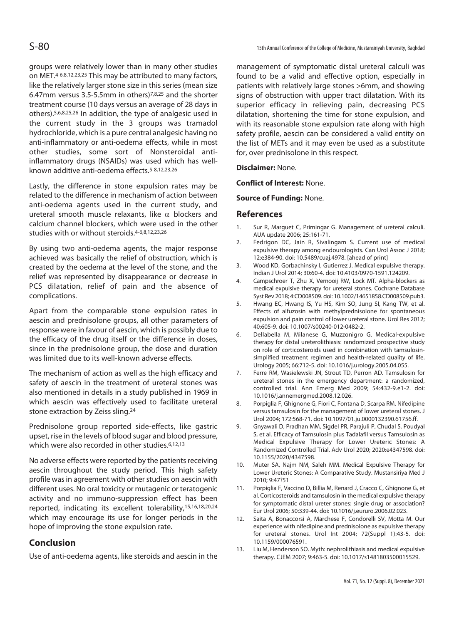groups were relatively lower than in many other studies on MET.4-6,8,12,23,25 This may be attributed to many factors, like the relatively larger stone size in this series (mean size 6.47mm versus 3.5-5.5mm in others)7,8,25 and the shorter treatment course (10 days versus an average of 28 days in others).5,6,8,25,26 In addition, the type of analgesic used in the current study in the 3 groups was tramadol hydrochloride, which is a pure central analgesic having no anti-inflammatory or anti-oedema effects, while in most other studies, some sort of Nonsteroidal antiinflammatory drugs (NSAIDs) was used which has wellknown additive anti-oedema effects.5-8,12,23,26

Lastly, the difference in stone expulsion rates may be related to the difference in mechanism of action between anti-oedema agents used in the current study, and ureteral smooth muscle relaxants, like  $\alpha$  blockers and calcium channel blockers, which were used in the other studies with or without steroids.4-6,8,12,23,26

By using two anti-oedema agents, the major response achieved was basically the relief of obstruction, which is created by the oedema at the level of the stone, and the relief was represented by disappearance or decrease in PCS dilatation, relief of pain and the absence of complications.

Apart from the comparable stone expulsion rates in aescin and prednisolone groups, all other parameters of response were in favour of aescin, which is possibly due to the efficacy of the drug itself or the difference in doses, since in the prednisolone group, the dose and duration was limited due to its well-known adverse effects.

The mechanism of action as well as the high efficacy and safety of aescin in the treatment of ureteral stones was also mentioned in details in a study published in 1969 in which aescin was effectively used to facilitate ureteral stone extraction by Zeiss sling.24

Prednisolone group reported side-effects, like gastric upset, rise in the levels of blood sugar and blood pressure, which were also recorded in other studies.<sup>6,12,13</sup>

No adverse effects were reported by the patients receiving aescin throughout the study period. This high safety profile was in agreement with other studies on aescin with different uses. No oral toxicity or mutagenic or teratogenic activity and no immuno-suppression effect has been reported, indicating its excellent tolerability,15,16,18,20,24 which may encourage its use for longer periods in the hope of improving the stone expulsion rate.

# **Conclusion**

Use of anti-oedema agents, like steroids and aescin in the

management of symptomatic distal ureteral calculi was found to be a valid and effective option, especially in patients with relatively large stones >6mm, and showing signs of obstruction with upper tract dilatation. With its superior efficacy in relieving pain, decreasing PCS dilatation, shortening the time for stone expulsion, and with its reasonable stone expulsion rate along with high safety profile, aescin can be considered a valid entity on the list of METs and it may even be used as a substitute for, over prednisolone in this respect.

#### **Disclaimer:** None.

**Conflict of Interest:** None.

#### **Source of Funding:** None.

## **References**

- 1. Sur R, Marguet C, Primingar G. Management of ureteral calculi. AUA update 2006; 25:161-71.
- 2. Fedrigon DC, Jain R, Sivalingam S. Current use of medical expulsive therapy among endourologists. Can Urol Assoc J 2018; 12:e384-90. doi: 10.5489/cuaj.4978. [ahead of print]
- 3. Wood KD, Gorbachinsky I, Gutierrez J. Medical expulsive therapy. Indian J Urol 2014; 30:60-4. doi: 10.4103/0970-1591.124209.
- 4. Campschroer T, Zhu X, Vernooij RW, Lock MT. Alpha-blockers as medical expulsive therapy for ureteral stones. Cochrane Database Syst Rev 2018; 4:CD008509. doi: 10.1002/14651858.CD008509.pub3.
- 5. Hwang EC, Hwang IS, Yu HS, Kim SO, Jung SI, Kang TW, et al. Effects of alfuzosin with methylprednisolone for spontaneous expulsion and pain control of lower ureteral stone. Urol Res 2012; 40:605-9. doi: 10.1007/s00240-012-0482-2.
- 6. Dellabella M, Milanese G, Muzzonigro G. Medical-expulsive therapy for distal ureterolithiasis: randomized prospective study on role of corticosteroids used in combination with tamsulosinsimplified treatment regimen and health-related quality of life. Urology 2005; 66:712-5. doi: 10.1016/j.urology.2005.04.055.
- 7. Ferre RM, Wasielewski JN, Strout TD, Perron AD. Tamsulosin for ureteral stones in the emergency department: a randomized, controlled trial. Ann Emerg Med 2009; 54:432-9.e1-2. doi: 10.1016/j.annemergmed.2008.12.026.
- 8. Porpiglia F, Ghignone G, Fiori C, Fontana D, Scarpa RM. Nifedipine versus tamsulosin for the management of lower ureteral stones. J Urol 2004; 172:568-71. doi: 10.1097/01.ju.0000132390.61756.ff.
- 9. Gnyawali D, Pradhan MM, Sigdel PR, Parajuli P, Chudal S, Poudyal S, et al. Efficacy of Tamsulosin plus Tadalafil versus Tamsulosin as Medical Expulsive Therapy for Lower Ureteric Stones: A Randomized Controlled Trial. Adv Urol 2020; 2020:e4347598. doi: 10.1155/2020/4347598.
- 10. Muter SA, Najm NM, Saleh MM. Medical Expulsive Therapy for Lower Ureteric Stones: A Comparative Study. Mustansiriya Med J 2010; 9:47?51
- 11. Porpiglia F, Vaccino D, Billia M, Renard J, Cracco C, Ghignone G, et al. Corticosteroids and tamsulosin in the medical expulsive therapy for symptomatic distal ureter stones: single drug or association? Eur Urol 2006; 50:339-44. doi: 10.1016/j.eururo.2006.02.023.
- 12. Saita A, Bonaccorsi A, Marchese F, Condorelli SV, Motta M. Our experience with nifedipine and prednisolone as expulsive therapy for ureteral stones. Urol Int 2004; 72(Suppl 1):43-5. doi: 10.1159/000076591.
- 13. Liu M, Henderson SO. Myth: nephrolithiasis and medical expulsive therapy. CJEM 2007; 9:463-5. doi: 10.1017/s1481803500015529.